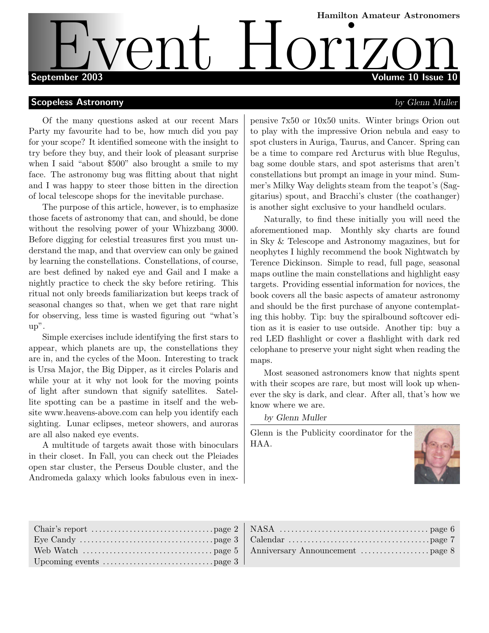# Hamilton Amateur Astronomers September 2003 Volume 10 Issue 10 EVent Hamilton Amateur Astronomers

#### **Scopeless Astronomy** and the set of the set of the set of the set of the set of the set of the set of the set of the set of the set of the set of the set of the set of the set of the set of the set of the set of the set o

Of the many questions asked at our recent Mars Party my favourite had to be, how much did you pay for your scope? It identified someone with the insight to try before they buy, and their look of pleasant surprise when I said "about \$500" also brought a smile to my face. The astronomy bug was flitting about that night and I was happy to steer those bitten in the direction of local telescope shops for the inevitable purchase.

The purpose of this article, however, is to emphasize those facets of astronomy that can, and should, be done without the resolving power of your Whizzbang 3000. Before digging for celestial treasures first you must understand the map, and that overview can only be gained by learning the constellations. Constellations, of course, are best defined by naked eye and Gail and I make a nightly practice to check the sky before retiring. This ritual not only breeds familiarization but keeps track of seasonal changes so that, when we get that rare night for observing, less time is wasted figuring out "what's up".

Simple exercises include identifying the first stars to appear, which planets are up, the constellations they are in, and the cycles of the Moon. Interesting to track is Ursa Major, the Big Dipper, as it circles Polaris and while your at it why not look for the moving points of light after sundown that signify satellites. Satellite spotting can be a pastime in itself and the website www.heavens-above.com can help you identify each sighting. Lunar eclipses, meteor showers, and auroras are all also naked eye events.

A multitude of targets await those with binoculars in their closet. In Fall, you can check out the Pleiades open star cluster, the Perseus Double cluster, and the Andromeda galaxy which looks fabulous even in inexpensive 7x50 or 10x50 units. Winter brings Orion out to play with the impressive Orion nebula and easy to spot clusters in Auriga, Taurus, and Cancer. Spring can be a time to compare red Arcturus with blue Regulus, bag some double stars, and spot asterisms that aren't constellations but prompt an image in your mind. Summer's Milky Way delights steam from the teapot's (Saggitarius) spout, and Bracchi's cluster (the coathanger) is another sight exclusive to your handheld oculars.

Naturally, to find these initially you will need the aforementioned map. Monthly sky charts are found in Sky & Telescope and Astronomy magazines, but for neophytes I highly recommend the book Nightwatch by Terence Dickinson. Simple to read, full page, seasonal maps outline the main constellations and highlight easy targets. Providing essential information for novices, the book covers all the basic aspects of amateur astronomy and should be the first purchase of anyone contemplating this hobby. Tip: buy the spiralbound softcover edition as it is easier to use outside. Another tip: buy a red LED flashlight or cover a flashlight with dark red celophane to preserve your night sight when reading the maps.

Most seasoned astronomers know that nights spent with their scopes are rare, but most will look up whenever the sky is dark, and clear. After all, that's how we know where we are.

by Glenn Muller

Glenn is the Publicity coordinator for the HAA.



| Upcoming events $\dots \dots \dots \dots \dots \dots \dots \dots \dots$ page 3 |  |
|--------------------------------------------------------------------------------|--|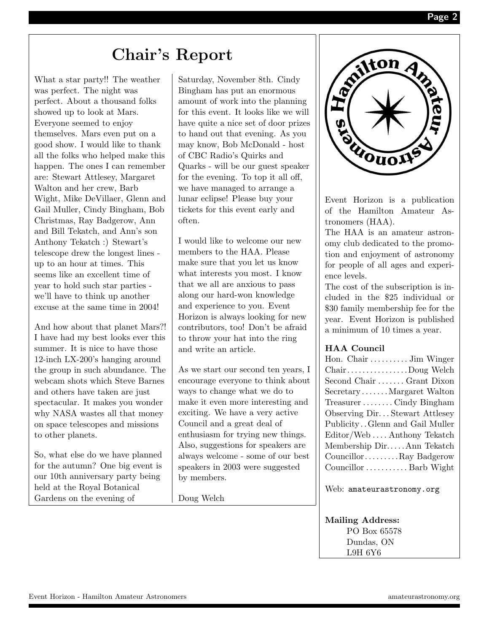### Chair's Report

What a star party!! The weather was perfect. The night was perfect. About a thousand folks showed up to look at Mars. Everyone seemed to enjoy themselves. Mars even put on a good show. I would like to thank all the folks who helped make this happen. The ones I can remember are: Stewart Attlesey, Margaret Walton and her crew, Barb Wight, Mike DeVillaer, Glenn and Gail Muller, Cindy Bingham, Bob Christmas, Ray Badgerow, Ann and Bill Tekatch, and Ann's son Anthony Tekatch :) Stewart's telescope drew the longest lines up to an hour at times. This seems like an excellent time of year to hold such star parties we'll have to think up another excuse at the same time in 2004!

And how about that planet Mars?! I have had my best looks ever this summer. It is nice to have those 12-inch LX-200's hanging around the group in such abundance. The webcam shots which Steve Barnes and others have taken are just spectacular. It makes you wonder why NASA wastes all that money on space telescopes and missions to other planets.

So, what else do we have planned for the autumn? One big event is our 10th anniversary party being held at the Royal Botanical Gardens on the evening of

Saturday, November 8th. Cindy Bingham has put an enormous amount of work into the planning for this event. It looks like we will have quite a nice set of door prizes to hand out that evening. As you may know, Bob McDonald - host of CBC Radio's Quirks and Quarks - will be our guest speaker for the evening. To top it all off, we have managed to arrange a lunar eclipse! Please buy your tickets for this event early and often.

I would like to welcome our new members to the HAA. Please make sure that you let us know what interests you most. I know that we all are anxious to pass along our hard-won knowledge and experience to you. Event Horizon is always looking for new contributors, too! Don't be afraid to throw your hat into the ring and write an article.

As we start our second ten years, I encourage everyone to think about ways to change what we do to make it even more interesting and exciting. We have a very active Council and a great deal of enthusiasm for trying new things. Also, suggestions for speakers are always welcome - some of our best speakers in 2003 were suggested by members.

Doug Welch



Event Horizon is a publication of the Hamilton Amateur Astronomers (HAA).

The HAA is an amateur astronomy club dedicated to the promotion and enjoyment of astronomy for people of all ages and experience levels.

The cost of the subscription is included in the \$25 individual or \$30 family membership fee for the year. Event Horizon is published a minimum of 10 times a year.

#### HAA Council

| Hon. Chair  Jim Winger         |
|--------------------------------|
| ChairDoug Welch                |
| Second Chair  Grant Dixon      |
| SecretaryMargaret Walton       |
| TreasurerCindy Bingham         |
| Observing Dir Stewart Attlesey |
| PublicityGlenn and Gail Muller |
| Editor/WebAnthony Tekatch      |
| Membership DirAnn Tekatch      |
| CouncillorRay Badgerow         |
| Councillor  Barb Wight         |

Web: amateurastronomy.org

Mailing Address: PO Box 65578 Dundas, ON L9H 6Y6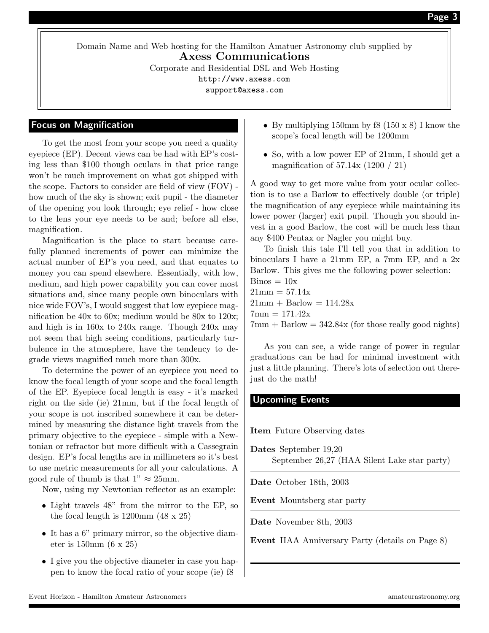Domain Name and Web hosting for the Hamilton Amatuer Astronomy club supplied by Axess Communications Corporate and Residential DSL and Web Hosting http://www.axess.com

support@axess.com

#### Focus on Magnification

To get the most from your scope you need a quality eyepiece (EP). Decent views can be had with EP's costing less than \$100 though oculars in that price range won't be much improvement on what got shipped with the scope. Factors to consider are field of view (FOV) how much of the sky is shown; exit pupil - the diameter of the opening you look through; eye relief - how close to the lens your eye needs to be and; before all else, magnification.

Magnification is the place to start because carefully planned increments of power can minimize the actual number of EP's you need, and that equates to money you can spend elsewhere. Essentially, with low, medium, and high power capability you can cover most situations and, since many people own binoculars with nice wide FOV's, I would suggest that low eyepiece magnification be 40x to 60x; medium would be 80x to 120x; and high is in 160x to 240x range. Though 240x may not seem that high seeing conditions, particularly turbulence in the atmosphere, have the tendency to degrade views magnified much more than 300x.

To determine the power of an eyepiece you need to know the focal length of your scope and the focal length of the EP. Eyepiece focal length is easy - it's marked right on the side (ie) 21mm, but if the focal length of your scope is not inscribed somewhere it can be determined by measuring the distance light travels from the primary objective to the eyepiece - simple with a Newtonian or refractor but more difficult with a Cassegrain design. EP's focal lengths are in millimeters so it's best to use metric measurements for all your calculations. A good rule of thumb is that  $1" \approx 25$ mm.

Now, using my Newtonian reflector as an example:

- Light travels 48" from the mirror to the EP, so the focal length is 1200mm (48 x 25)
- It has a  $6$ " primary mirror, so the objective diameter is 150mm (6 x 25)
- I give you the objective diameter in case you happen to know the focal ratio of your scope (ie) f8
- By multiplying 150mm by  $f(8)(150 \times 8)$  I know the scope's focal length will be 1200mm
- So, with a low power EP of 21mm, I should get a magnification of 57.14x (1200 / 21)

A good way to get more value from your ocular collection is to use a Barlow to effectively double (or triple) the magnification of any eyepiece while maintaining its lower power (larger) exit pupil. Though you should invest in a good Barlow, the cost will be much less than any \$400 Pentax or Nagler you might buy.

To finish this tale I'll tell you that in addition to binoculars I have a 21mm EP, a 7mm EP, and a 2x Barlow. This gives me the following power selection:

 $\text{Binos} = 10x$  $21mm = 57.14x$ 

 $21mm + Barlow = 114.28x$ 

 $7 \text{mm} = 171.42 \text{x}$ 

 $7 \text{mm} + \text{Barlow} = 342.84 \text{x}$  (for those really good nights)

As you can see, a wide range of power in regular graduations can be had for minimal investment with just a little planning. There's lots of selection out therejust do the math!

#### Upcoming Events

Item Future Observing dates

Dates September 19,20 September 26,27 (HAA Silent Lake star party)

Date October 18th, 2003

Event Mountsberg star party

Date November 8th, 2003

Event HAA Anniversary Party (details on Page 8)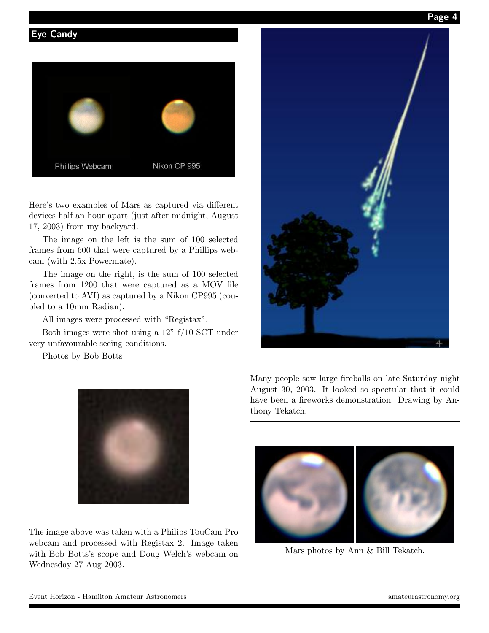Page 4

#### Eye Candy



Here's two examples of Mars as captured via different devices half an hour apart (just after midnight, August 17, 2003) from my backyard.

The image on the left is the sum of 100 selected frames from 600 that were captured by a Phillips webcam (with 2.5x Powermate).

The image on the right, is the sum of 100 selected frames from 1200 that were captured as a MOV file (converted to AVI) as captured by a Nikon CP995 (coupled to a 10mm Radian).

All images were processed with "Registax".

Both images were shot using a 12" f/10 SCT under very unfavourable seeing conditions.

Photos by Bob Botts



The image above was taken with a Philips TouCam Pro webcam and processed with Registax 2. Image taken with Bob Botts's scope and Doug Welch's webcam on Wednesday 27 Aug 2003.



Many people saw large fireballs on late Saturday night August 30, 2003. It looked so spectular that it could have been a fireworks demonstration. Drawing by Anthony Tekatch.



Mars photos by Ann & Bill Tekatch.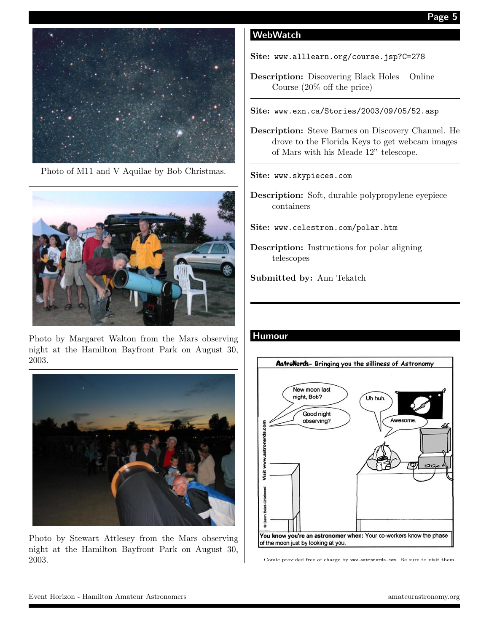

Photo of M11 and V Aquilae by Bob Christmas.



Photo by Margaret Walton from the Mars observing night at the Hamilton Bayfront Park on August 30, 2003.



Photo by Stewart Attlesey from the Mars observing night at the Hamilton Bayfront Park on August 30, 2003.

### WebWatch

Site: www.alllearn.org/course.jsp?C=278

Description: Discovering Black Holes – Online Course (20% off the price)

Site: www.exn.ca/Stories/2003/09/05/52.asp

Description: Steve Barnes on Discovery Channel. He drove to the Florida Keys to get webcam images of Mars with his Meade 12" telescope.

#### Site: www.skypieces.com

Description: Soft, durable polypropylene eyepiece containers

Site: www.celestron.com/polar.htm

Description: Instructions for polar aligning telescopes

Submitted by: Ann Tekatch

#### **Humour**



Comic provided free of charge by www.astronerds.com. Be sure to visit them.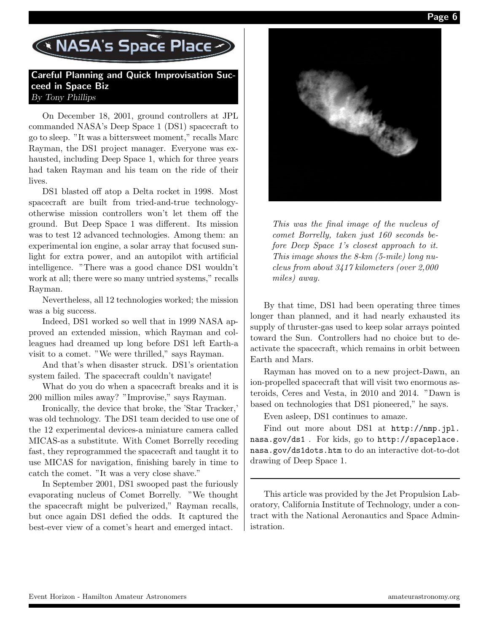Page 6

## NASA's Space Place

#### Careful Planning and Quick Improvisation Succeed in Space Biz By Tony Phillips

On December 18, 2001, ground controllers at JPL commanded NASA's Deep Space 1 (DS1) spacecraft to go to sleep. "It was a bittersweet moment," recalls Marc Rayman, the DS1 project manager. Everyone was exhausted, including Deep Space 1, which for three years had taken Rayman and his team on the ride of their lives.

DS1 blasted off atop a Delta rocket in 1998. Most spacecraft are built from tried-and-true technologyotherwise mission controllers won't let them off the ground. But Deep Space 1 was different. Its mission was to test 12 advanced technologies. Among them: an experimental ion engine, a solar array that focused sunlight for extra power, and an autopilot with artificial intelligence. "There was a good chance DS1 wouldn't work at all; there were so many untried systems," recalls Rayman.

Nevertheless, all 12 technologies worked; the mission was a big success.

Indeed, DS1 worked so well that in 1999 NASA approved an extended mission, which Rayman and colleagues had dreamed up long before DS1 left Earth-a visit to a comet. "We were thrilled," says Rayman.

And that's when disaster struck. DS1's orientation system failed. The spacecraft couldn't navigate!

What do you do when a spacecraft breaks and it is 200 million miles away? "Improvise," says Rayman.

Ironically, the device that broke, the 'Star Tracker,' was old technology. The DS1 team decided to use one of the 12 experimental devices-a miniature camera called MICAS-as a substitute. With Comet Borrelly receding fast, they reprogrammed the spacecraft and taught it to use MICAS for navigation, finishing barely in time to catch the comet. "It was a very close shave."

In September 2001, DS1 swooped past the furiously evaporating nucleus of Comet Borrelly. "We thought the spacecraft might be pulverized," Rayman recalls, but once again DS1 defied the odds. It captured the best-ever view of a comet's heart and emerged intact.



This was the final image of the nucleus of comet Borrelly, taken just 160 seconds before Deep Space 1's closest approach to it. This image shows the 8-km (5-mile) long nucleus from about 3417 kilometers (over 2,000 miles) away.

By that time, DS1 had been operating three times longer than planned, and it had nearly exhausted its supply of thruster-gas used to keep solar arrays pointed toward the Sun. Controllers had no choice but to deactivate the spacecraft, which remains in orbit between Earth and Mars.

Rayman has moved on to a new project-Dawn, an ion-propelled spacecraft that will visit two enormous asteroids, Ceres and Vesta, in 2010 and 2014. "Dawn is based on technologies that DS1 pioneered," he says.

Even asleep, DS1 continues to amaze.

Find out more about DS1 at http://nmp.jpl. nasa.gov/ds1 . For kids, go to http://spaceplace. nasa.gov/ds1dots.htm to do an interactive dot-to-dot drawing of Deep Space 1.

This article was provided by the Jet Propulsion Laboratory, California Institute of Technology, under a contract with the National Aeronautics and Space Administration.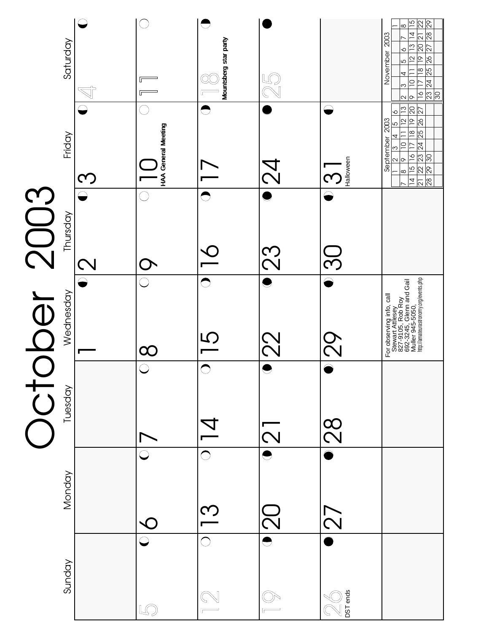